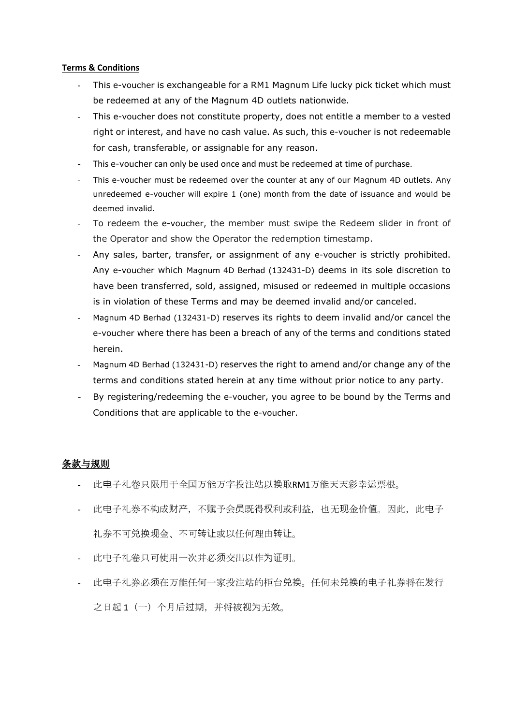## **Terms & Conditions**

- This e-voucher is exchangeable for a RM1 Magnum Life lucky pick ticket which must be redeemed at any of the Magnum 4D outlets nationwide.
- This e-voucher does not constitute property, does not entitle a member to a vested right or interest, and have no cash value. As such, this e-voucher is not redeemable for cash, transferable, or assignable for any reason.
- This e-voucher can only be used once and must be redeemed at time of purchase.
- This e-voucher must be redeemed over the counter at any of our Magnum 4D outlets. Any unredeemed e-voucher will expire 1 (one) month from the date of issuance and would be deemed invalid.
- To redeem the e-voucher, the member must swipe the Redeem slider in front of the Operator and show the Operator the redemption timestamp.
- Any sales, barter, transfer, or assignment of any e-voucher is strictly prohibited. Any e-voucher which Magnum 4D Berhad (132431-D) deems in its sole discretion to have been transferred, sold, assigned, misused or redeemed in multiple occasions is in violation of these Terms and may be deemed invalid and/or canceled.
- Magnum 4D Berhad (132431-D) reserves its rights to deem invalid and/or cancel the e-voucher where there has been a breach of any of the terms and conditions stated herein.
- Magnum 4D Berhad (132431-D) reserves the right to amend and/or change any of the terms and conditions stated herein at any time without prior notice to any party.
- By registering/redeeming the e-voucher, you agree to be bound by the Terms and Conditions that are applicable to the e-voucher.

## 条款与规则

- 此电子礼卷只限用于全国万能万字投注站以换取RM1万能天天彩幸运票根。
- 此电子礼券不构成财产,不赋予会员既得权利或利益,也无现金价值。因此,此电子 礼券不可兑换现金、不可转让或以任何理由转让。
- 此电子礼卷只可使用一次并必须交出以作为证明。
- 此电子礼券必须在万能任何一家投注站的柜台兑换。任何未兑换的电子礼券将在发行 之日起1(一)个月后过期,并将被视为无效。